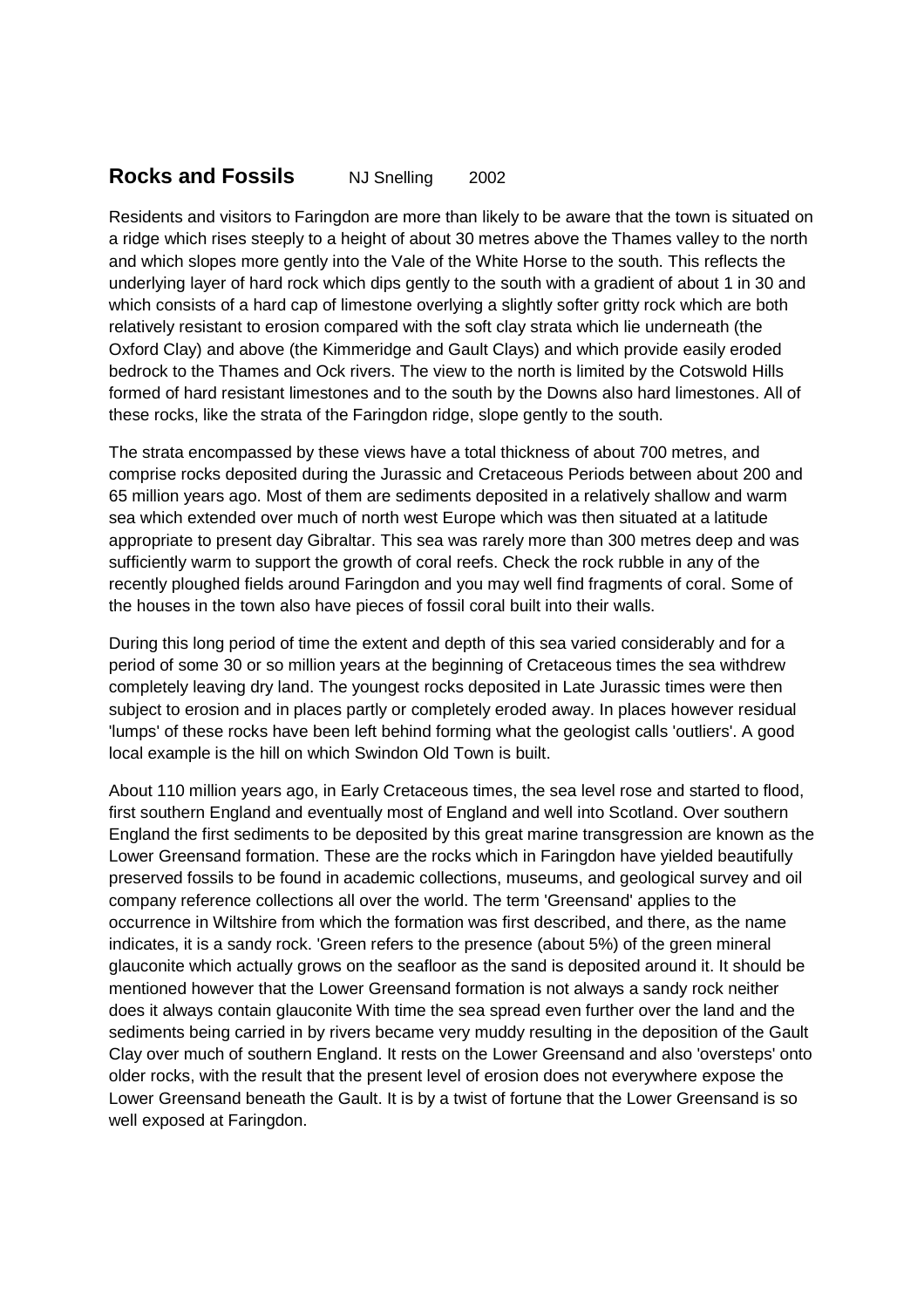## **Rocks and Fossils** NJ Snelling 2002

Residents and visitors to Faringdon are more than likely to be aware that the town is situated on a ridge which rises steeply to a height of about 30 metres above the Thames valley to the north and which slopes more gently into the Vale of the White Horse to the south. This reflects the underlying layer of hard rock which dips gently to the south with a gradient of about 1 in 30 and which consists of a hard cap of limestone overlying a slightly softer gritty rock which are both relatively resistant to erosion compared with the soft clay strata which lie underneath (the Oxford Clay) and above (the Kimmeridge and Gault Clays) and which provide easily eroded bedrock to the Thames and Ock rivers. The view to the north is limited by the Cotswold Hills formed of hard resistant limestones and to the south by the Downs also hard limestones. All of these rocks, like the strata of the Faringdon ridge, slope gently to the south.

The strata encompassed by these views have a total thickness of about 700 metres, and comprise rocks deposited during the Jurassic and Cretaceous Periods between about 200 and 65 million years ago. Most of them are sediments deposited in a relatively shallow and warm sea which extended over much of north west Europe which was then situated at a latitude appropriate to present day Gibraltar. This sea was rarely more than 300 metres deep and was sufficiently warm to support the growth of coral reefs. Check the rock rubble in any of the recently ploughed fields around Faringdon and you may well find fragments of coral. Some of the houses in the town also have pieces of fossil coral built into their walls.

During this long period of time the extent and depth of this sea varied considerably and for a period of some 30 or so million years at the beginning of Cretaceous times the sea withdrew completely leaving dry land. The youngest rocks deposited in Late Jurassic times were then subject to erosion and in places partly or completely eroded away. In places however residual 'lumps' of these rocks have been left behind forming what the geologist calls 'outliers'. A good local example is the hill on which Swindon Old Town is built.

About 110 million years ago, in Early Cretaceous times, the sea level rose and started to flood, first southern England and eventually most of England and well into Scotland. Over southern England the first sediments to be deposited by this great marine transgression are known as the Lower Greensand formation. These are the rocks which in Faringdon have yielded beautifully preserved fossils to be found in academic collections, museums, and geological survey and oil company reference collections all over the world. The term 'Greensand' applies to the occurrence in Wiltshire from which the formation was first described, and there, as the name indicates, it is a sandy rock. 'Green refers to the presence (about 5%) of the green mineral glauconite which actually grows on the seafloor as the sand is deposited around it. It should be mentioned however that the Lower Greensand formation is not always a sandy rock neither does it always contain glauconite With time the sea spread even further over the land and the sediments being carried in by rivers became very muddy resulting in the deposition of the Gault Clay over much of southern England. It rests on the Lower Greensand and also 'oversteps' onto older rocks, with the result that the present level of erosion does not everywhere expose the Lower Greensand beneath the Gault. It is by a twist of fortune that the Lower Greensand is so well exposed at Faringdon.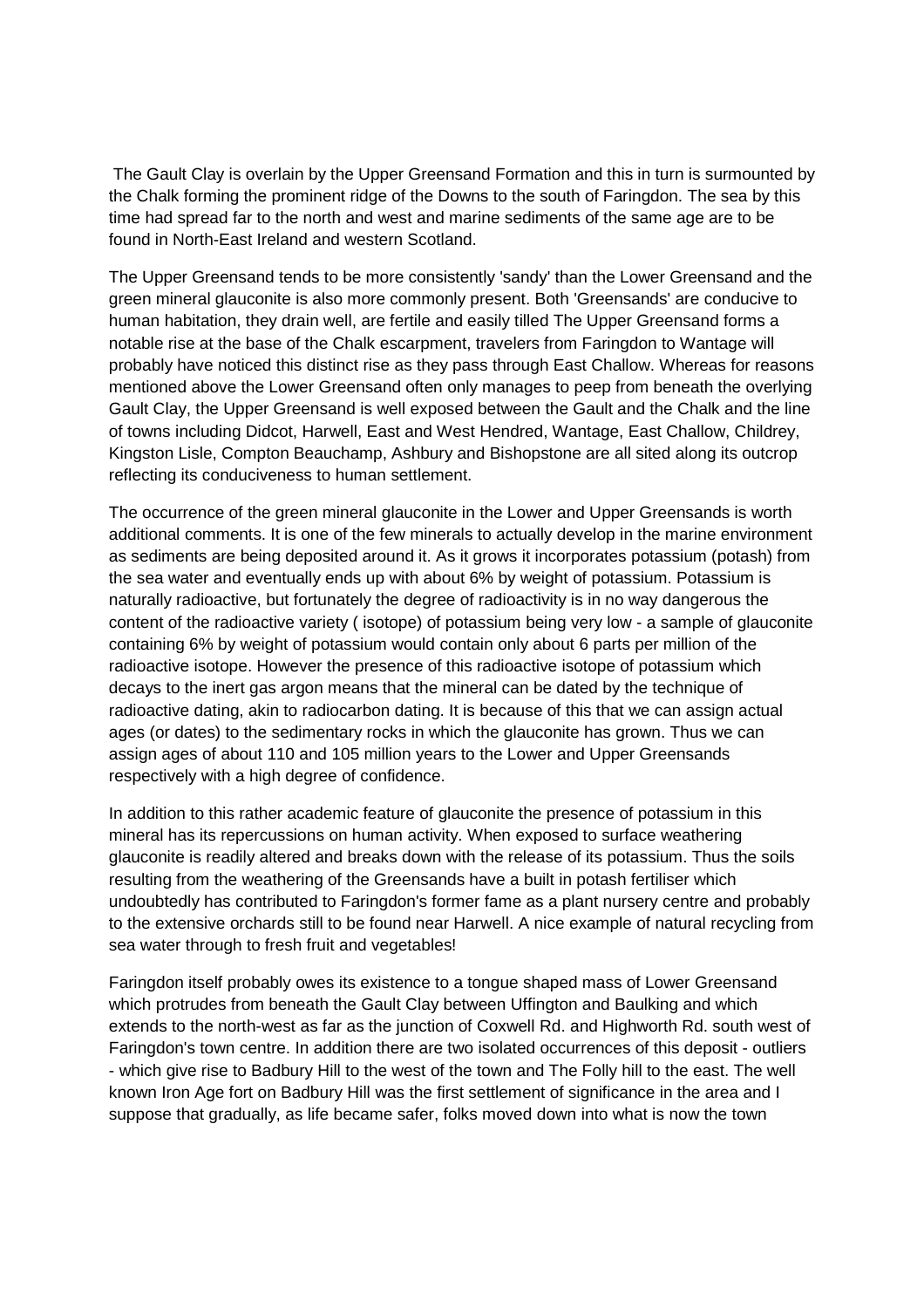The Gault Clay is overlain by the Upper Greensand Formation and this in turn is surmounted by the Chalk forming the prominent ridge of the Downs to the south of Faringdon. The sea by this time had spread far to the north and west and marine sediments of the same age are to be found in North-East Ireland and western Scotland.

The Upper Greensand tends to be more consistently 'sandy' than the Lower Greensand and the green mineral glauconite is also more commonly present. Both 'Greensands' are conducive to human habitation, they drain well, are fertile and easily tilled The Upper Greensand forms a notable rise at the base of the Chalk escarpment, travelers from Faringdon to Wantage will probably have noticed this distinct rise as they pass through East Challow. Whereas for reasons mentioned above the Lower Greensand often only manages to peep from beneath the overlying Gault Clay, the Upper Greensand is well exposed between the Gault and the Chalk and the line of towns including Didcot, Harwell, East and West Hendred, Wantage, East Challow, Childrey, Kingston Lisle, Compton Beauchamp, Ashbury and Bishopstone are all sited along its outcrop reflecting its conduciveness to human settlement.

The occurrence of the green mineral glauconite in the Lower and Upper Greensands is worth additional comments. It is one of the few minerals to actually develop in the marine environment as sediments are being deposited around it. As it grows it incorporates potassium (potash) from the sea water and eventually ends up with about 6% by weight of potassium. Potassium is naturally radioactive, but fortunately the degree of radioactivity is in no way dangerous the content of the radioactive variety ( isotope) of potassium being very low - a sample of glauconite containing 6% by weight of potassium would contain only about 6 parts per million of the radioactive isotope. However the presence of this radioactive isotope of potassium which decays to the inert gas argon means that the mineral can be dated by the technique of radioactive dating, akin to radiocarbon dating. It is because of this that we can assign actual ages (or dates) to the sedimentary rocks in which the glauconite has grown. Thus we can assign ages of about 110 and 105 million years to the Lower and Upper Greensands respectively with a high degree of confidence.

In addition to this rather academic feature of glauconite the presence of potassium in this mineral has its repercussions on human activity. When exposed to surface weathering glauconite is readily altered and breaks down with the release of its potassium. Thus the soils resulting from the weathering of the Greensands have a built in potash fertiliser which undoubtedly has contributed to Faringdon's former fame as a plant nursery centre and probably to the extensive orchards still to be found near Harwell. A nice example of natural recycling from sea water through to fresh fruit and vegetables!

Faringdon itself probably owes its existence to a tongue shaped mass of Lower Greensand which protrudes from beneath the Gault Clay between Uffington and Baulking and which extends to the north-west as far as the junction of Coxwell Rd. and Highworth Rd. south west of Faringdon's town centre. In addition there are two isolated occurrences of this deposit - outliers - which give rise to Badbury Hill to the west of the town and The Folly hill to the east. The well known Iron Age fort on Badbury Hill was the first settlement of significance in the area and I suppose that gradually, as life became safer, folks moved down into what is now the town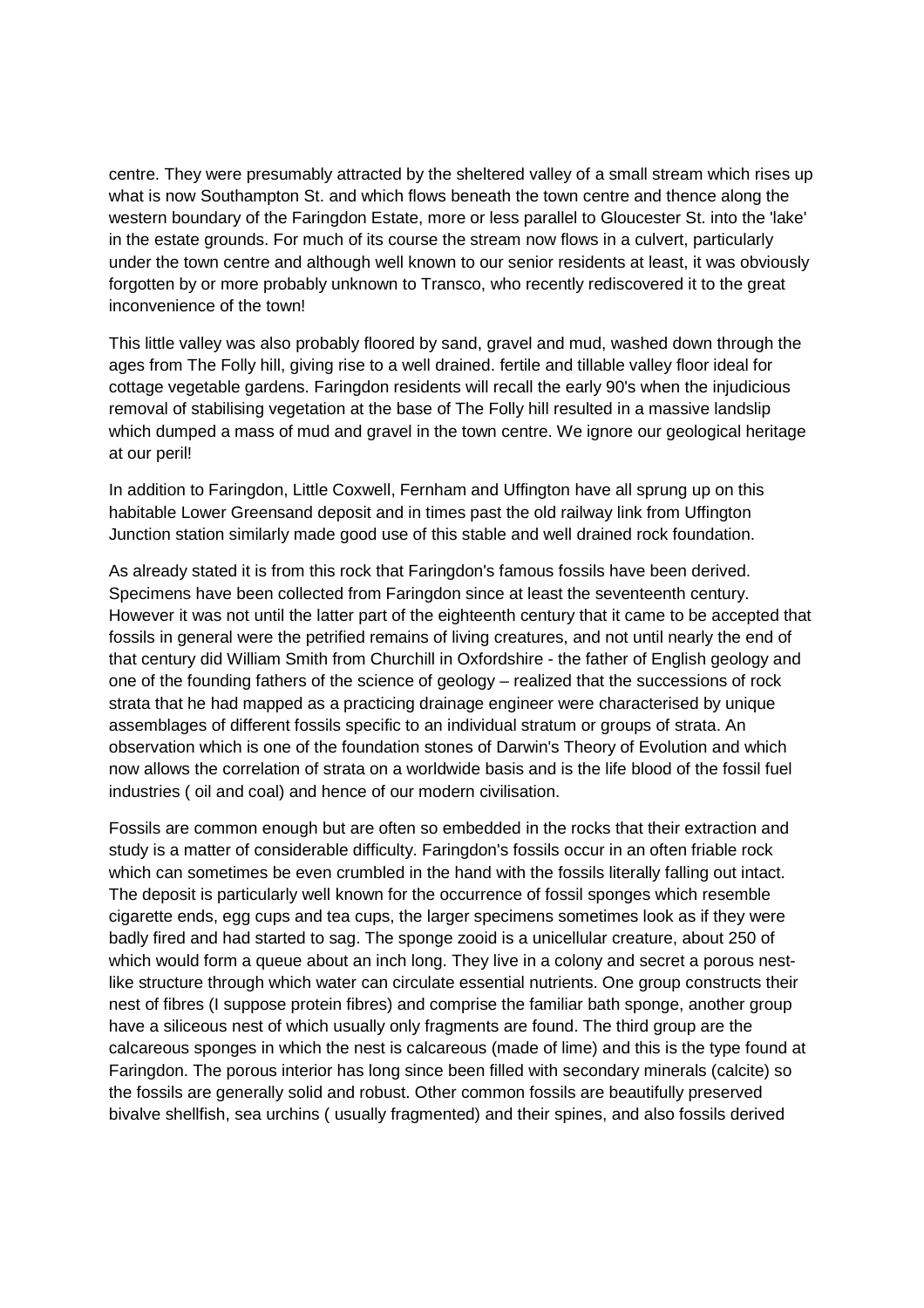centre. They were presumably attracted by the sheltered valley of a small stream which rises up what is now Southampton St. and which flows beneath the town centre and thence along the western boundary of the Faringdon Estate, more or less parallel to Gloucester St. into the 'lake' in the estate grounds. For much of its course the stream now flows in a culvert, particularly under the town centre and although well known to our senior residents at least, it was obviously forgotten by or more probably unknown to Transco, who recently rediscovered it to the great inconvenience of the town!

This little valley was also probably floored by sand, gravel and mud, washed down through the ages from The Folly hill, giving rise to a well drained. fertile and tillable valley floor ideal for cottage vegetable gardens. Faringdon residents will recall the early 90's when the injudicious removal of stabilising vegetation at the base of The Folly hill resulted in a massive landslip which dumped a mass of mud and gravel in the town centre. We ignore our geological heritage at our peril!

In addition to Faringdon, Little Coxwell, Fernham and Uffington have all sprung up on this habitable Lower Greensand deposit and in times past the old railway link from Uffington Junction station similarly made good use of this stable and well drained rock foundation.

As already stated it is from this rock that Faringdon's famous fossils have been derived. Specimens have been collected from Faringdon since at least the seventeenth century. However it was not until the latter part of the eighteenth century that it came to be accepted that fossils in general were the petrified remains of living creatures, and not until nearly the end of that century did William Smith from Churchill in Oxfordshire - the father of English geology and one of the founding fathers of the science of geology – realized that the successions of rock strata that he had mapped as a practicing drainage engineer were characterised by unique assemblages of different fossils specific to an individual stratum or groups of strata. An observation which is one of the foundation stones of Darwin's Theory of Evolution and which now allows the correlation of strata on a worldwide basis and is the life blood of the fossil fuel industries ( oil and coal) and hence of our modern civilisation.

Fossils are common enough but are often so embedded in the rocks that their extraction and study is a matter of considerable difficulty. Faringdon's fossils occur in an often friable rock which can sometimes be even crumbled in the hand with the fossils literally falling out intact. The deposit is particularly well known for the occurrence of fossil sponges which resemble cigarette ends, egg cups and tea cups, the larger specimens sometimes look as if they were badly fired and had started to sag. The sponge zooid is a unicellular creature, about 250 of which would form a queue about an inch long. They live in a colony and secret a porous nestlike structure through which water can circulate essential nutrients. One group constructs their nest of fibres (I suppose protein fibres) and comprise the familiar bath sponge, another group have a siliceous nest of which usually only fragments are found. The third group are the calcareous sponges in which the nest is calcareous (made of lime) and this is the type found at Faringdon. The porous interior has long since been filled with secondary minerals (calcite) so the fossils are generally solid and robust. Other common fossils are beautifully preserved bivalve shellfish, sea urchins ( usually fragmented) and their spines, and also fossils derived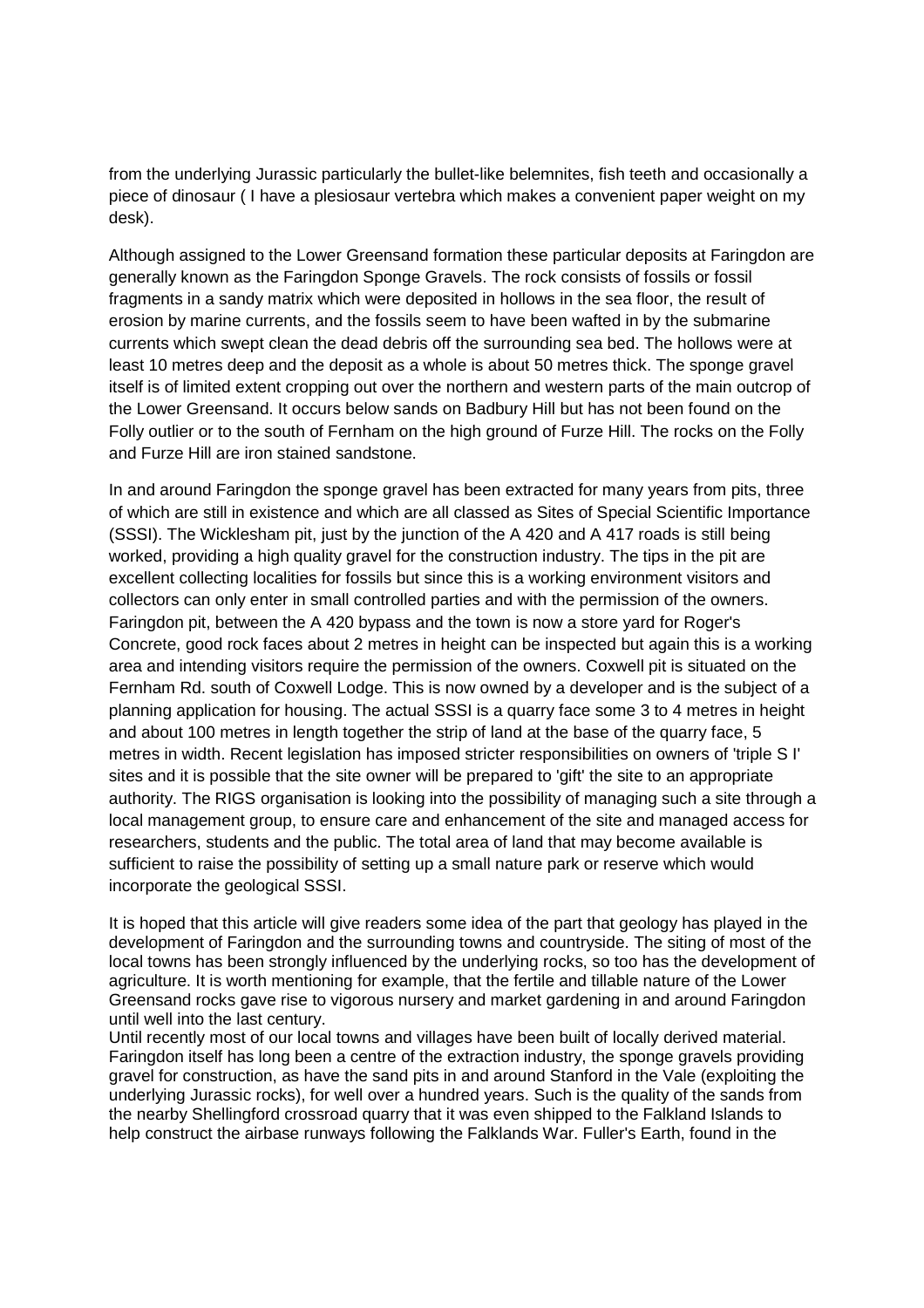from the underlying Jurassic particularly the bullet-like belemnites, fish teeth and occasionally a piece of dinosaur ( I have a plesiosaur vertebra which makes a convenient paper weight on my desk).

Although assigned to the Lower Greensand formation these particular deposits at Faringdon are generally known as the Faringdon Sponge Gravels. The rock consists of fossils or fossil fragments in a sandy matrix which were deposited in hollows in the sea floor, the result of erosion by marine currents, and the fossils seem to have been wafted in by the submarine currents which swept clean the dead debris off the surrounding sea bed. The hollows were at least 10 metres deep and the deposit as a whole is about 50 metres thick. The sponge gravel itself is of limited extent cropping out over the northern and western parts of the main outcrop of the Lower Greensand. It occurs below sands on Badbury Hill but has not been found on the Folly outlier or to the south of Fernham on the high ground of Furze Hill. The rocks on the Folly and Furze Hill are iron stained sandstone.

In and around Faringdon the sponge gravel has been extracted for many years from pits, three of which are still in existence and which are all classed as Sites of Special Scientific Importance (SSSI). The Wicklesham pit, just by the junction of the A 420 and A 417 roads is still being worked, providing a high quality gravel for the construction industry. The tips in the pit are excellent collecting localities for fossils but since this is a working environment visitors and collectors can only enter in small controlled parties and with the permission of the owners. Faringdon pit, between the A 420 bypass and the town is now a store yard for Roger's Concrete, good rock faces about 2 metres in height can be inspected but again this is a working area and intending visitors require the permission of the owners. Coxwell pit is situated on the Fernham Rd. south of Coxwell Lodge. This is now owned by a developer and is the subject of a planning application for housing. The actual SSSI is a quarry face some 3 to 4 metres in height and about 100 metres in length together the strip of land at the base of the quarry face, 5 metres in width. Recent legislation has imposed stricter responsibilities on owners of 'triple S I' sites and it is possible that the site owner will be prepared to 'gift' the site to an appropriate authority. The RIGS organisation is looking into the possibility of managing such a site through a local management group, to ensure care and enhancement of the site and managed access for researchers, students and the public. The total area of land that may become available is sufficient to raise the possibility of setting up a small nature park or reserve which would incorporate the geological SSSI.

It is hoped that this article will give readers some idea of the part that geology has played in the development of Faringdon and the surrounding towns and countryside. The siting of most of the local towns has been strongly influenced by the underlying rocks, so too has the development of agriculture. It is worth mentioning for example, that the fertile and tillable nature of the Lower Greensand rocks gave rise to vigorous nursery and market gardening in and around Faringdon until well into the last century.

Until recently most of our local towns and villages have been built of locally derived material. Faringdon itself has long been a centre of the extraction industry, the sponge gravels providing gravel for construction, as have the sand pits in and around Stanford in the Vale (exploiting the underlying Jurassic rocks), for well over a hundred years. Such is the quality of the sands from the nearby Shellingford crossroad quarry that it was even shipped to the Falkland Islands to help construct the airbase runways following the Falklands War. Fuller's Earth, found in the